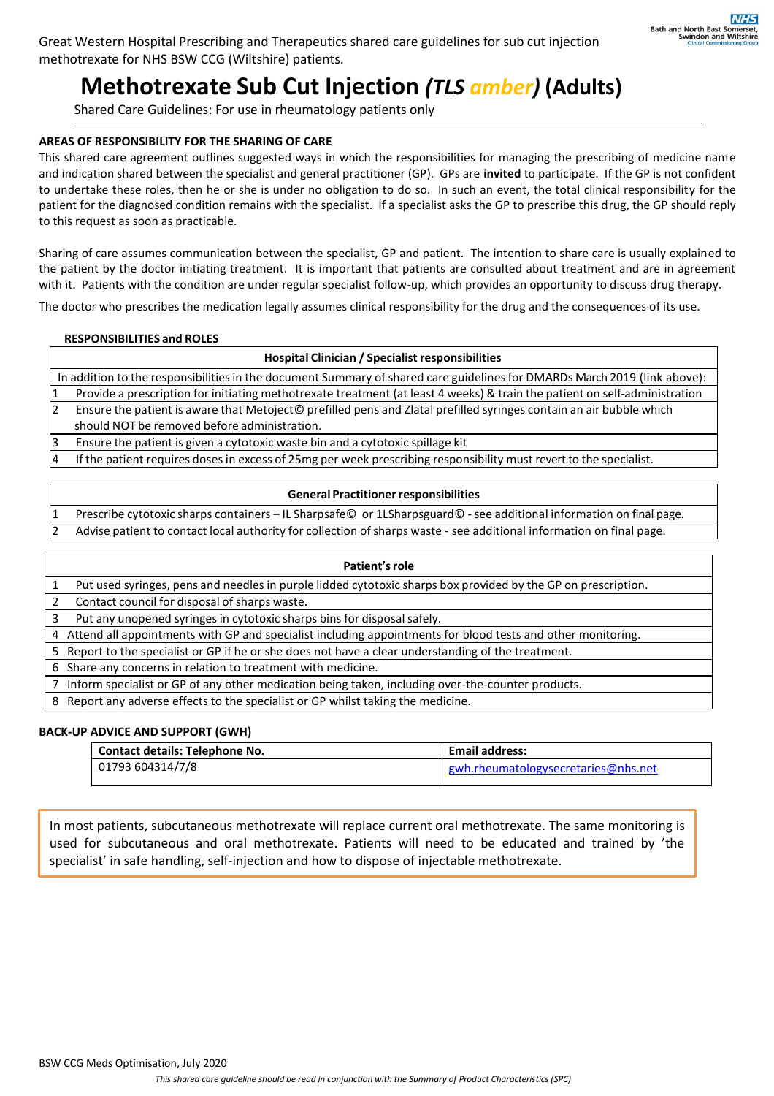# **Methotrexate Sub Cut Injection** *(TLS amber)* **(Adults)**

Shared Care Guidelines: For use in rheumatology patients only

## **AREAS OF RESPONSIBILITY FOR THE SHARING OF CARE**

This shared care agreement outlines suggested ways in which the responsibilities for managing the prescribing of medicine name and indication shared between the specialist and general practitioner (GP). GPs are **invited** to participate. If the GP is not confident to undertake these roles, then he or she is under no obligation to do so. In such an event, the total clinical responsibility for the patient for the diagnosed condition remains with the specialist. If a specialist asks the GP to prescribe this drug, the GP should reply to this request as soon as practicable.

Sharing of care assumes communication between the specialist, GP and patient. The intention to share care is usually explained to the patient by the doctor initiating treatment. It is important that patients are consulted about treatment and are in agreement with it. Patients with the condition are under regular specialist follow-up, which provides an opportunity to discuss drug therapy.

The doctor who prescribes the medication legally assumes clinical responsibility for the drug and the consequences of its use.

#### **RESPONSIBILITIES and ROLES**

## **Hospital Clinician / Specialist responsibilities**

In addition to the responsibilities in the document Summary of shared care guidelines for DMARDs March 2019 (link above):

1 Provide a prescription for initiating methotrexate treatment (at least 4 weeks) & train the patient on self-administration 2 Ensure the patient is aware that Metoject© prefilled pens and Zlatal prefilled syringes contain an air bubble which should NOT be removed before administration.

3 Ensure the patient is given a cytotoxic waste bin and a cytotoxic spillage kit

4 If the patient requires dosesin excess of 25mg per week prescribing responsibility must revert to the specialist.

#### **General Practitionerresponsibilities**

1 Prescribe cytotoxic sharps containers – IL Sharpsafe© or 1LSharpsguard© - see additional information on final page.

Advise patient to contact local authority for collection of sharps waste - see additional information on final page.

| Patient's role |                                                                                                               |  |  |  |
|----------------|---------------------------------------------------------------------------------------------------------------|--|--|--|
|                | Put used syringes, pens and needles in purple lidded cytotoxic sharps box provided by the GP on prescription. |  |  |  |
|                | Contact council for disposal of sharps waste.                                                                 |  |  |  |
| 3              | Put any unopened syringes in cytotoxic sharps bins for disposal safely.                                       |  |  |  |
|                | 4 Attend all appointments with GP and specialist including appointments for blood tests and other monitoring. |  |  |  |
|                | 5 Report to the specialist or GP if he or she does not have a clear understanding of the treatment.           |  |  |  |
|                | 6 Share any concerns in relation to treatment with medicine.                                                  |  |  |  |
|                | 7 Inform specialist or GP of any other medication being taken, including over-the-counter products.           |  |  |  |
|                | 8 Report any adverse effects to the specialist or GP whilst taking the medicine.                              |  |  |  |

# **BACK-UP ADVICE AND SUPPORT (GWH)**

| <b>Contact details: Telephone No.</b> | <b>Email address:</b>               |  |
|---------------------------------------|-------------------------------------|--|
| 01793 604314/7/8                      | gwh.rheumatologysecretaries@nhs.net |  |

In most patients, subcutaneous methotrexate will replace current oral methotrexate. The same monitoring is used for subcutaneous and oral methotrexate. Patients will need to be educated and trained by 'the specialist' in safe handling, self-injection and how to dispose of injectable methotrexate.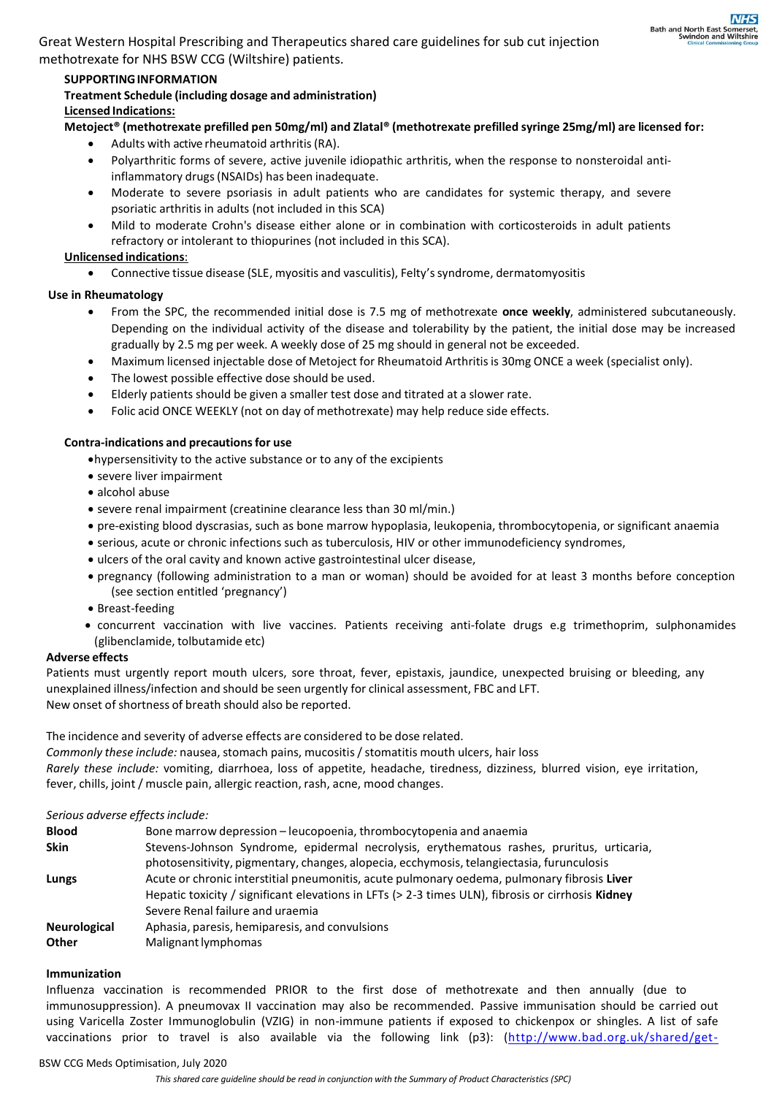Great Western Hospital Prescribing and Therapeutics shared care guidelines for sub cut injection methotrexate for NHS BSW CCG (Wiltshire) patients.

# **SUPPORTINGINFORMATION**

**Treatment Schedule (including dosage and administration) Licensed Indications:**

## **Metoject® (methotrexate prefilled pen 50mg/ml) and Zlatal® (methotrexate prefilled syringe 25mg/ml) are licensed for:**

- Adults with active rheumatoid arthritis(RA).
- Polyarthritic forms of severe, active juvenile idiopathic arthritis, when the response to nonsteroidal antiinflammatory drugs(NSAIDs) has been inadequate.
- Moderate to severe psoriasis in adult patients who are candidates for systemic therapy, and severe psoriatic arthritis in adults (not included in this SCA)
- Mild to moderate Crohn's disease either alone or in combination with corticosteroids in adult patients refractory or intolerant to thiopurines (not included in this SCA).

## **Unlicensed indications**:

Connective tissue disease (SLE, myositis and vasculitis), Felty's syndrome, dermatomyositis

# **Use in Rheumatology**

- From the SPC, the recommended initial dose is 7.5 mg of methotrexate **once weekly**, administered subcutaneously. Depending on the individual activity of the disease and tolerability by the patient, the initial dose may be increased gradually by 2.5 mg per week. A weekly dose of 25 mg should in general not be exceeded.
- Maximum licensed injectable dose of Metoject for Rheumatoid Arthritisis 30mg ONCE a week (specialist only).
- The lowest possible effective dose should be used.
- Elderly patients should be given a smaller test dose and titrated at a slower rate.
- Folic acid ONCE WEEKLY (not on day of methotrexate) may help reduce side effects.

# **Contra-indications and precautionsfor use**

- hypersensitivity to the active substance or to any of the excipients
- severe liver impairment
- alcohol abuse
- severe renal impairment (creatinine clearance less than 30 ml/min.)
- pre-existing blood dyscrasias, such as bone marrow hypoplasia, leukopenia, thrombocytopenia, or significant anaemia
- serious, acute or chronic infections such as tuberculosis, HIV or other immunodeficiency syndromes,
- ulcers of the oral cavity and known active gastrointestinal ulcer disease,
- pregnancy (following administration to a man or woman) should be avoided for at least 3 months before conception (see section entitled 'pregnancy')
- Breast-feeding
- concurrent vaccination with live vaccines. Patients receiving anti-folate drugs e.g trimethoprim, sulphonamides (glibenclamide, tolbutamide etc)

#### **Adverse effects**

Patients must urgently report mouth ulcers, sore throat, fever, epistaxis, jaundice, unexpected bruising or bleeding, any unexplained illness/infection and should be seen urgently for clinical assessment, FBC and LFT. New onset of shortness of breath should also be reported.

The incidence and severity of adverse effects are considered to be dose related.

*Commonly these include:* nausea, stomach pains, mucositis/ stomatitis mouth ulcers, hair loss *Rarely these include:* vomiting, diarrhoea, loss of appetite, headache, tiredness, dizziness, blurred vision, eye irritation, fever, chills, joint / muscle pain, allergic reaction, rash, acne, mood changes.

#### *Serious adverse effectsinclude:*

| <b>Blood</b>        | Bone marrow depression - leucopoenia, thrombocytopenia and anaemia                                                                                                                                                                   |
|---------------------|--------------------------------------------------------------------------------------------------------------------------------------------------------------------------------------------------------------------------------------|
| <b>Skin</b>         | Stevens-Johnson Syndrome, epidermal necrolysis, erythematous rashes, pruritus, urticaria,<br>photosensitivity, pigmentary, changes, alopecia, ecchymosis, telangiectasia, furunculosis                                               |
| Lungs               | Acute or chronic interstitial pneumonitis, acute pulmonary oedema, pulmonary fibrosis Liver<br>Hepatic toxicity / significant elevations in LFTs (> 2-3 times ULN), fibrosis or cirrhosis Kidney<br>Severe Renal failure and uraemia |
| <b>Neurological</b> | Aphasia, paresis, hemiparesis, and convulsions                                                                                                                                                                                       |
| <b>Other</b>        | Malignant lymphomas                                                                                                                                                                                                                  |

#### **Immunization**

Influenza vaccination is recommended PRIOR to the first dose of methotrexate and then annually (due to immunosuppression). A pneumovax II vaccination may also be recommended. Passive immunisation should be carried out using Varicella Zoster Immunoglobulin (VZIG) in non-immune patients if exposed to chickenpox or shingles. A list of safe vaccinations prior to travel is also available via the following link (p3): [\(http://www.bad.org.uk/shared/get-](http://www.bad.org.uk/shared/get-file.ashx?id=4021&itemtype=document)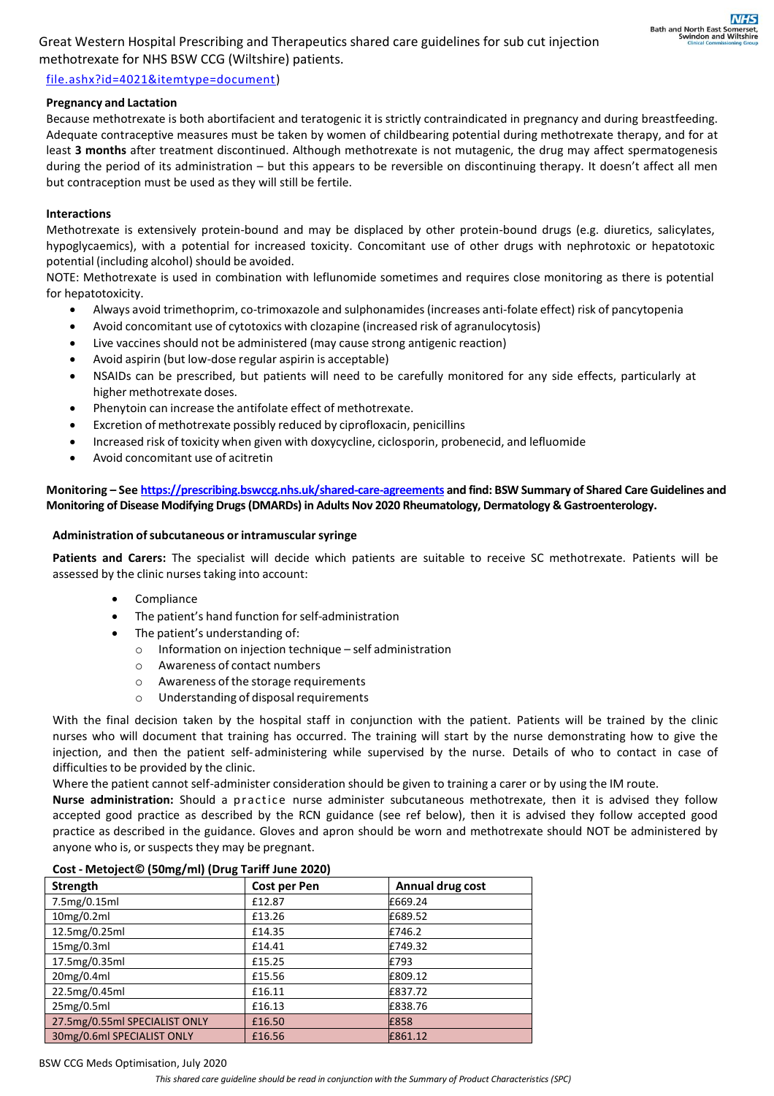Great Western Hospital Prescribing and Therapeutics shared care guidelines for sub cut injection methotrexate for NHS BSW CCG (Wiltshire) patients.

[file.ashx?id=4021&itemtype=document\)](http://www.bad.org.uk/shared/get-file.ashx?id=4021&itemtype=document)

# **Pregnancy and Lactation**

Because methotrexate is both abortifacient and teratogenic it is strictly contraindicated in pregnancy and during breastfeeding. Adequate contraceptive measures must be taken by women of childbearing potential during methotrexate therapy, and for at least **3 months** after treatment discontinued. Although methotrexate is not mutagenic, the drug may affect spermatogenesis during the period of its administration – but this appears to be reversible on discontinuing therapy. It doesn't affect all men but contraception must be used as they will still be fertile.

# **Interactions**

Methotrexate is extensively protein-bound and may be displaced by other protein-bound drugs (e.g. diuretics, salicylates, hypoglycaemics), with a potential for increased toxicity. Concomitant use of other drugs with nephrotoxic or hepatotoxic potential (including alcohol) should be avoided.

NOTE: Methotrexate is used in combination with leflunomide sometimes and requires close monitoring as there is potential for hepatotoxicity.

- Always avoid trimethoprim, co-trimoxazole and sulphonamides(increases anti-folate effect) risk of pancytopenia
- Avoid concomitant use of cytotoxics with clozapine (increased risk of agranulocytosis)
- Live vaccines should not be administered (may cause strong antigenic reaction)
- Avoid aspirin (but low-dose regular aspirin is acceptable)
- NSAIDs can be prescribed, but patients will need to be carefully monitored for any side effects, particularly at higher methotrexate doses.
- Phenytoin can increase the antifolate effect of methotrexate.
- Excretion of methotrexate possibly reduced by ciprofloxacin, penicillins
- Increased risk of toxicity when given with doxycycline, ciclosporin, probenecid, and lefluomide
- Avoid concomitant use of acitretin

**Monitoring – See <https://prescribing.bswccg.nhs.uk/shared-care-agreements> and find: BSW Summary of Shared Care Guidelines and Monitoring of Disease Modifying Drugs (DMARDs) in Adults Nov 2020 Rheumatology, Dermatology & Gastroenterology.**

#### **Administration ofsubcutaneous or intramuscularsyringe**

**Patients and Carers:** The specialist will decide which patients are suitable to receive SC methotrexate. Patients will be assessed by the clinic nurses taking into account:

- Compliance
- The patient's hand function forself-administration
- The patient's understanding of:
	- o Information on injection technique self administration
	- o Awareness of contact numbers
	- o Awareness of the storage requirements
	- o Understanding of disposalrequirements

With the final decision taken by the hospital staff in conjunction with the patient. Patients will be trained by the clinic nurses who will document that training has occurred. The training will start by the nurse demonstrating how to give the injection, and then the patient self-administering while supervised by the nurse. Details of who to contact in case of difficulties to be provided by the clinic.

Where the patient cannot self-administer consideration should be given to training a carer or by using the IM route.

Nurse administration: Should a practice nurse administer subcutaneous methotrexate, then it is advised they follow accepted good practice as described by the RCN guidance (see ref below), then it is advised they follow accepted good practice as described in the guidance. Gloves and apron should be worn and methotrexate should NOT be administered by anyone who is, or suspects they may be pregnant.

#### **Cost - Metoject© (50mg/ml) (Drug Tariff June 2020)**

| Strength                      | <b>Cost per Pen</b> | Annual drug cost |
|-------------------------------|---------------------|------------------|
| 7.5mg/0.15ml                  | £12.87              | £669.24          |
| 10mg/0.2ml                    | £13.26              | £689.52          |
| 12.5mg/0.25ml                 | £14.35              | £746.2           |
| 15mg/0.3ml                    | £14.41              | £749.32          |
| 17.5mg/0.35ml                 | £15.25              | £793             |
| 20mg/0.4ml                    | £15.56              | £809.12          |
| 22.5mg/0.45ml                 | £16.11              | £837.72          |
| 25mg/0.5ml                    | £16.13              | £838.76          |
| 27.5mg/0.55ml SPECIALIST ONLY | £16.50              | £858             |
| 30mg/0.6ml SPECIALIST ONLY    | £16.56              | £861.12          |

#### BSW CCG Meds Optimisation, July 2020